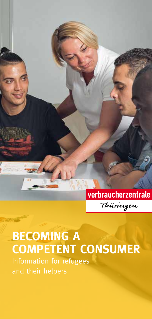

# **BECOMING A COMPETENT CONSUMER**

Information for refugees and their helpers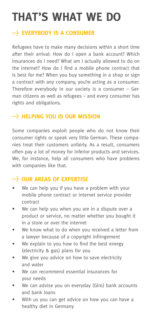# **THAT'S WHAT WE DO**

## **EVERYBODY IS A CONSUMER**

Refugees have to make many decisions within a short time after their arrival: How do I open a bank account? Which insurances do I need? What am I actually allowed to do on the internet? How do I find a mobile phone contract that is best for me? When you buy something in a shop or sign a contract with any company, you're acting as a consumer. Therefore everybody in our society is a consumer – German citizens as well as refugees – and every consumer has rights and obligations.

## **HELPING YOU IS OUR MISSION**

Some companies exploit people who do not know their consumer rights or speak very little German. These companies treat their customers unfairly. As a result, consumers often pay a lot of money for inferior products and services. We, for instance, help all consumers who have problems with companies like that.

### **WE OUR AREAS OF EXPERTISE**

- We can help you if you have a problem with your mobile phone contract or internet service provider contract
- We can help you when you are in a dispute over a product or service, no matter whether you bought it in a store or over the internet
- We know what to do when you received a letter from a lawyer because of a copyright infringement
- We explain to you how to find the best energy (electricity & gas) plans for you
- We give you advice on how to save electricity and water
- We can recommend essential insurances for your needs
- We can advise you on everyday (Giro) bank accounts and bank loans
- With us you can get advice on how you can have a healthy diet in Germany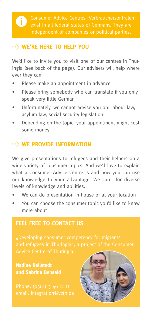#### **WE'RE HERE TO HELP YOU**

We'd like to invite you to visit one of our centres in Thuringia (see back of the page). Our advisers will help where ever they can.

- Please make an appointment in advance
- Please bring somebody who can translate if you only speak very little German
- Unfortunately, we cannot advise you on: labour law, asylum law, social security legislation
- Depending on the topic, your appointment might cost some money

# **WE PROVIDE INFORMATION**

We give presentations to refugees and their helpers on a wide variety of consumer topics. And we'd love to explain what a Consumer Advice Centre is and how you can use our knowledge to your advantage. We cater for diverse levels of knowledge and abilities.

- We can do presentation in-house or at your location
- You can choose the consumer topic you'd like to know more about

## **FEEL FREE TO CONTACT US**

**Nadine Bellstedt and Sabrina Bensaid**